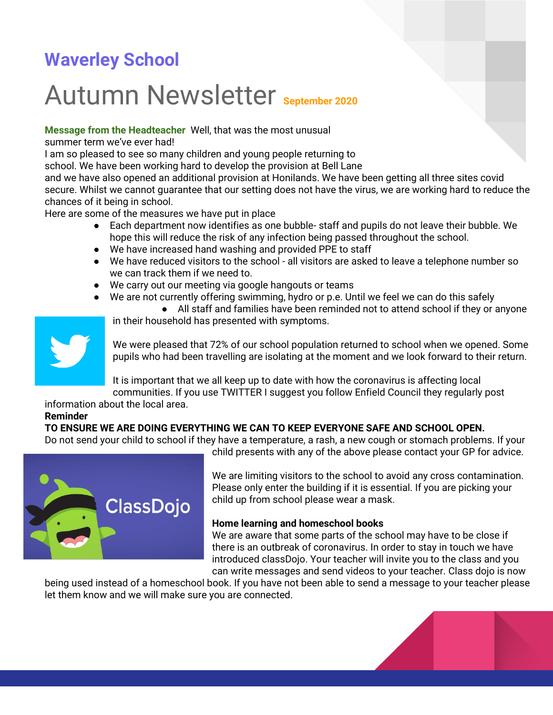## **Waverley School**

# Autumn Newsletter **September 2020**

**Message from the Headteacher** Well, that was the most unusual

summer term we've ever had!

I am so pleased to see so many children and young people returning to

school. We have been working hard to develop the provision at Bell Lane

and we have also opened an additional provision at Honilands. We have been getting all three sites covid secure. Whilst we cannot guarantee that our setting does not have the virus, we are working hard to reduce the chances of it being in school.

Here are some of the measures we have put in place

- Each department now identifies as one bubble- staff and pupils do not leave their bubble. We hope this will reduce the risk of any infection being passed throughout the school.
- We have increased hand washing and provided PPE to staff
- We have reduced visitors to the school all visitors are asked to leave a telephone number so we can track them if we need to.
- We carry out our meeting via google hangouts or teams
- We are not currently offering swimming, hydro or p.e. Until we feel we can do this safely

● All staff and families have been reminded not to attend school if they or anyone in their household has presented with symptoms.



We were pleased that 72% of our school population returned to school when we opened. Some pupils who had been travelling are isolating at the moment and we look forward to their return.

It is important that we all keep up to date with how the coronavirus is affecting local

communities. If you use TWITTER I suggest you follow Enfield Council they regularly post information about the local area.

#### **Reminder**

#### **TO ENSURE WE ARE DOING EVERYTHING WE CAN TO KEEP EVERYONE SAFE AND SCHOOL OPEN.**

Do not send your child to school if they have a temperature, a rash, a new cough or stomach problems. If your child presents with any of the above please contact your GP for advice.



We are limiting visitors to the school to avoid any cross contamination. Please only enter the building if it is essential. If you are picking your child up from school please wear a mask.

#### **Home learning and homeschool books**

We are aware that some parts of the school may have to be close if there is an outbreak of coronavirus. In order to stay in touch we have introduced classDojo. Your teacher will invite you to the class and you can write messages and send videos to your teacher. Class dojo is now

being used instead of a homeschool book. If you have not been able to send a message to your teacher please let them know and we will make sure you are connected.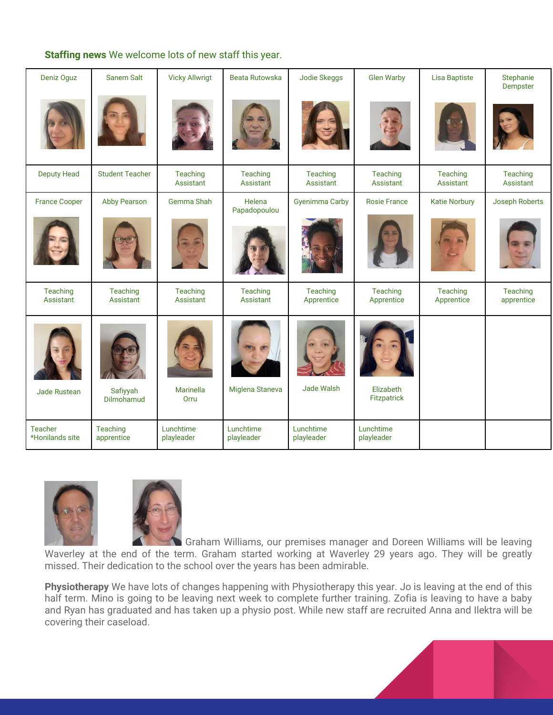#### **Staffing news** We welcome lots of new staff this year.

| Deniz Oguz                 | Sanem Salt             | <b>Vicky Allwrigt</b>   | <b>Beata Rutowska</b>   | Jodie Skeggs            | <b>Glen Warby</b>        | <b>Lisa Baptiste</b>   | Stephanie<br>Dempster         |
|----------------------------|------------------------|-------------------------|-------------------------|-------------------------|--------------------------|------------------------|-------------------------------|
|                            |                        |                         |                         |                         |                          |                        |                               |
| <b>Deputy Head</b>         | <b>Student Teacher</b> | Teaching<br>Assistant   | Teaching<br>Assistant   | Teaching<br>Assistant   | Teaching<br>Assistant    | Teaching<br>Assistant  | <b>Teaching</b><br>Assistant  |
| <b>France Cooper</b>       | <b>Abby Pearson</b>    | Gemma Shah              | Helena<br>Papadopoulou  | <b>Gyenimma Carby</b>   | <b>Rosie France</b>      | <b>Katie Norbury</b>   | Joseph Roberts                |
|                            |                        |                         |                         |                         |                          |                        |                               |
| Teaching<br>Assistant      | Teaching<br>Assistant  | Teaching<br>Assistant   | Teaching<br>Assistant   | Teaching<br>Apprentice  | Teaching<br>Apprentice   | Teaching<br>Apprentice | <b>Teaching</b><br>apprentice |
| <b>Jade Rustean</b>        | Safiyyah<br>Dilmohamud | Marinella<br>Orru       | Miglena Staneva         | Jade Walsh              | Elizabeth<br>Fitzpatrick |                        |                               |
| Teacher<br>*Honilands site | Teaching<br>apprentice | Lunchtime<br>playleader | Lunchtime<br>playleader | Lunchtime<br>playleader | Lunchtime<br>playleader  |                        |                               |





 Graham Williams, our premises manager and Doreen Williams will be leaving Waverley at the end of the term. Graham started working at Waverley 29 years ago. They will be greatly missed. Their dedication to the school over the years has been admirable.

**Physiotherapy** We have lots of changes happening with Physiotherapy this year. Jo is leaving at the end of this half term. Mino is going to be leaving next week to complete further training. Zofia is leaving to have a baby and Ryan has graduated and has taken up a physio post. While new staff are recruited Anna and Ilektra will be covering their caseload.

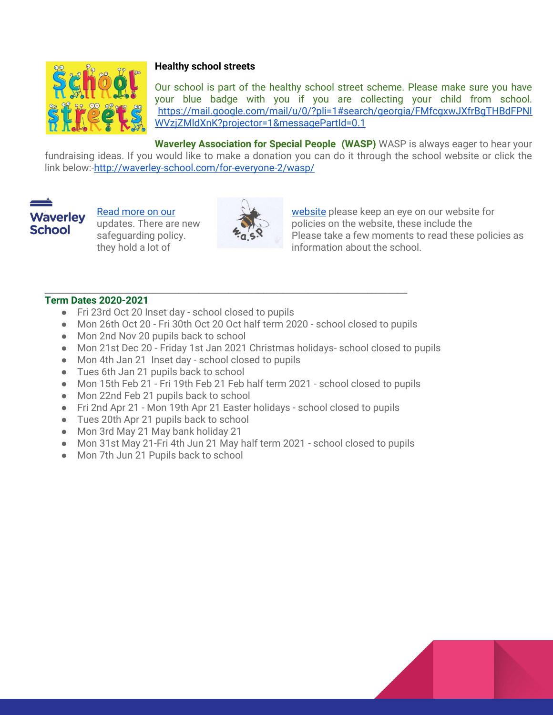

#### **Healthy school streets**

Our school is part of the healthy school street scheme. Please make sure you have your blue badge with you if you are collecting your child from school. [https://mail.google.com/mail/u/0/?pli=1#search/georgia/FMfcgxwJXfrBgTHBdFPNl](https://mail.google.com/mail/u/0/?pli=1#search/georgia/FMfcgxwJXfrBgTHBdFPNlWVzjZMldXnK?projector=1&messagePartId=0.1) [WVzjZMldXnK?projector=1&messagePartId=0.1](https://mail.google.com/mail/u/0/?pli=1#search/georgia/FMfcgxwJXfrBgTHBdFPNlWVzjZMldXnK?projector=1&messagePartId=0.1)

**Waverley Association for Special People (WASP)** WASP is always eager to hear your fundraising ideas. If you would like to make a donation you can do it through the school website or click the link below:[-http://waverley-school.com/for-everyone-2/wasp/](http://waverley-school.com/for-everyone-2/wasp/)

### **Waverley School**



Read more on our **the state of the set of the set of the set of the set of the set of the set of the set of the set of the set of the set of the set of the set of the set of the set of the set of the set of the set of the** updates. There are new **the set of the set of the vector of the website**, these include the safeguarding policy. **Please** take a few moments to read these policies as they hold a lot of information about the school.

#### **\_\_\_\_\_\_\_\_\_\_\_\_\_\_\_\_\_\_\_\_\_\_\_\_\_\_\_\_\_\_\_\_\_\_\_\_\_\_\_\_\_\_\_\_\_\_\_\_\_\_\_\_\_\_\_\_\_\_\_\_\_\_\_\_\_\_\_\_\_\_\_\_\_ Term Dates 2020-2021**

- Fri 23rd Oct 20 Inset day school closed to pupils
- Mon 26th Oct 20 Fri 30th Oct 20 Oct half term 2020 school closed to pupils
- Mon 2nd Nov 20 pupils back to school
- Mon 21st Dec 20 Friday 1st Jan 2021 Christmas holidays- school closed to pupils
- Mon 4th Jan 21 Inset day school closed to pupils
- Tues 6th Jan 21 pupils back to school
- Mon 15th Feb 21 Fri 19th Feb 21 Feb half term 2021 school closed to pupils
- Mon 22nd Feb 21 pupils back to school
- Fri 2nd Apr 21 Mon 19th Apr 21 Easter holidays school closed to pupils
- Tues 20th Apr 21 pupils back to school
- Mon 3rd May 21 May bank holiday 21
- Mon 31st May 21-Fri 4th Jun 21 May half term 2021 school closed to pupils
- Mon 7th Jun 21 Pupils back to school